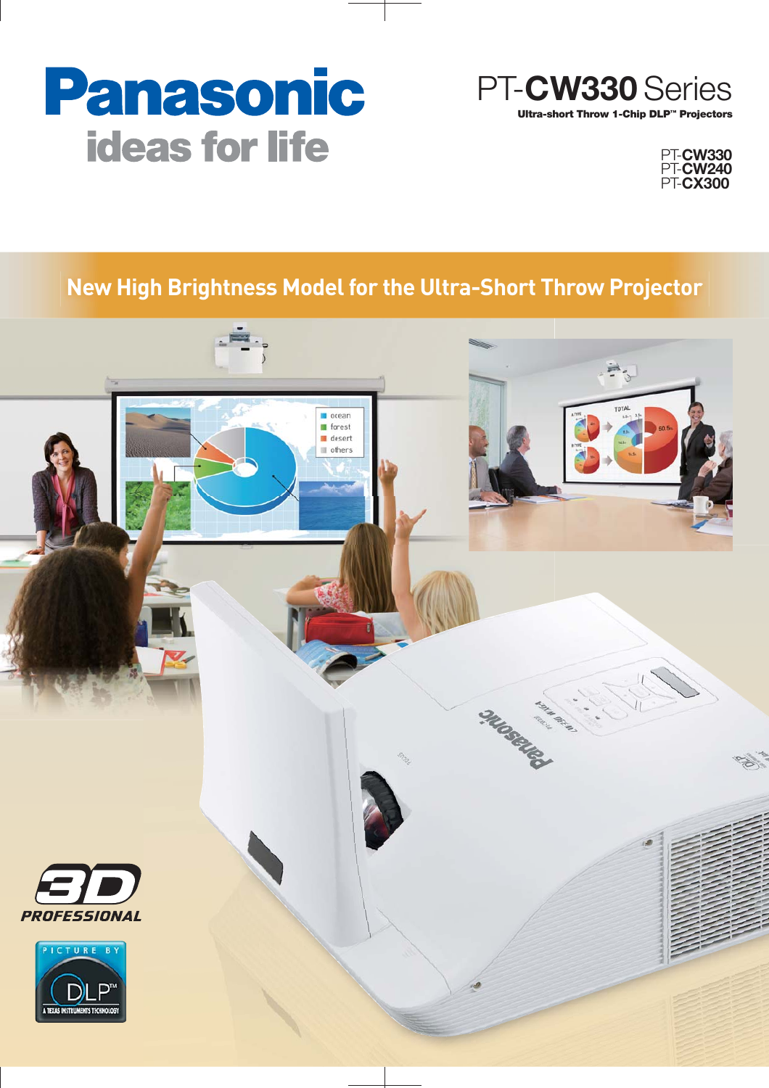# **Panasonic ideas for life**





# **New High Brightness Model for the Ultra-Short Throw Projector**

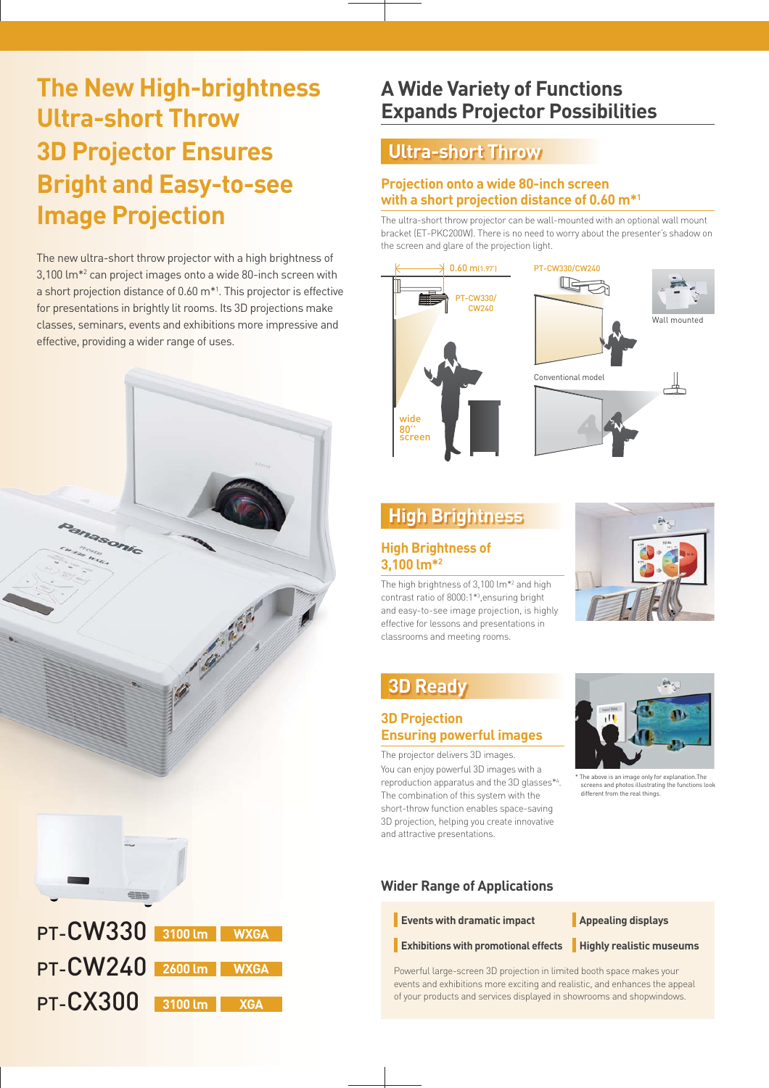# **The New High-brightness Ultra-short Throw 3D Projector Ensures Bright and Easy-to-see Image Projection**

The new ultra-short throw projector with a high brightness of 3,100 lm\*2 can project images onto a wide 80-inch screen with a short projection distance of 0.60 m\*1 . This projector is effective for presentations in brightly lit rooms. Its 3D projections make classes, seminars, events and exhibitions more impressive and effective, providing a wider range of uses.



# **A Wide Variety of Functions Expands Projector Possibilities**

# **Ultra-short Throw**

### **Projection onto a wide 80-inch screen with a short projection distance of 0.60 m\*1**

The ultra-short throw projector can be wall-mounted with an optional wall mount bracket (ET-PKC200W). There is no need to worry about the presenter's shadow on the screen and glare of the projection light.



# **High Brightness**

#### **High Brightness of 3,100 lm\*2**

The high brightness of 3,100 lm\*2 and high contrast ratio of 8000:1\*3 ,ensuring bright and easy-to-see image projection, is highly effective for lessons and presentations in classrooms and meeting rooms.



# **3D Ready**

#### **3D Projection Ensuring powerful images**

The projector delivers 3D images. You can enjoy powerful 3D images with a reproduction apparatus and the 3D glasses\*4 . The combination of this system with the short-throw function enables space-saving 3D projection, helping you create innovative and attractive presentations.



\* The above is an image only for explanation.The screens and photos illustrating the functions look different from the real things.

## **Wider Range of Applications**

**Events with dramatic impact Appealing displays** 

**Exhibitions with promotional effects Highly realistic museums**

Powerful large-screen 3D projection in limited booth space makes your events and exhibitions more exciting and realistic, and enhances the appeal of your products and services displayed in showrooms and shopwindows.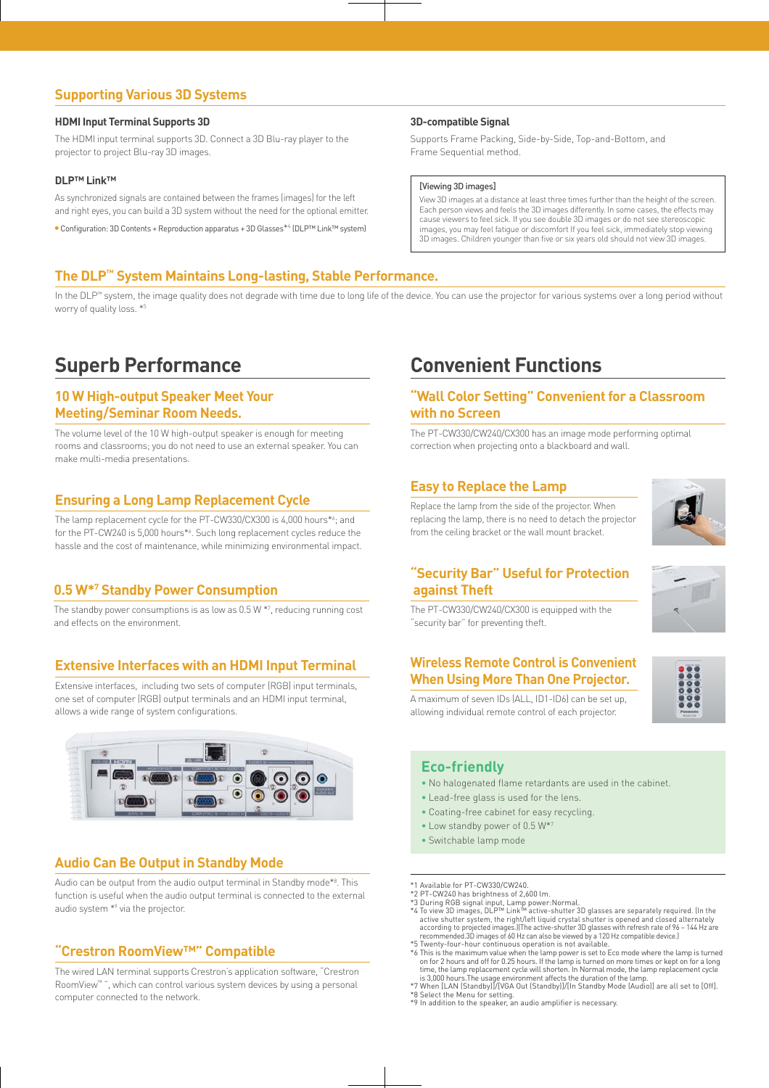#### **Supporting Various 3D Systems**

#### **HDMI Input Terminal Supports 3D**

The HDMI input terminal supports 3D. Connect a 3D Blu-ray player to the projector to project Blu-ray 3D images.

#### **DLP™ Link™**

As synchronized signals are contained between the frames (images) for the left and right eyes, you can build a 3D system without the need for the optional emitter.

Configuration: 3D Contents + Reproduction apparatus + 3D Glasses\*4 (DLP™ Link™ system)

#### **3D-compatible Signal**

Supports Frame Packing, Side-by-Side, Top-and-Bottom, and Frame Sequential method.

#### [Viewing 3D images]

View 3D images at a distance at least three times further than the height of the screen. Each person views and feels the 3D images differently. In some cases, the effects may cause viewers to feel sick. If you see double 3D images or do not see stereoscopic images, you may feel fatigue or discomfort If you feel sick, immediately stop viewing 3D images. Children younger than five or six years old should not view 3D images.

#### **The DLP™ System Maintains Long-lasting, Stable Performance.**

In the DLP™ system, the image quality does not degrade with time due to long life of the device. You can use the projector for various systems over a long period without worry of quality loss. \*5

#### **10 W High-output Speaker Meet Your Meeting/Seminar Room Needs.**

The volume level of the 10 W high-output speaker is enough for meeting rooms and classrooms; you do not need to use an external speaker. You can make multi-media presentations.

#### **Ensuring a Long Lamp Replacement Cycle**

The lamp replacement cycle for the PT-CW330/CX300 is 4,000 hours\*6 ; and for the PT-CW240 is 5,000 hours\*6 . Such long replacement cycles reduce the hassle and the cost of maintenance, while minimizing environmental impact.

#### **0.5 W\*7 Standby Power Consumption**

The standby power consumptions is as low as 0.5 W \*7 , reducing running cost and effects on the environment.

#### **Extensive Interfaces with an HDMI Input Terminal**

Extensive interfaces, including two sets of computer (RGB) input terminals, one set of computer (RGB) output terminals and an HDMI input terminal, allows a wide range of system configurations.



#### **Audio Can Be Output in Standby Mode**

Audio can be output from the audio output terminal in Standby mode\*8 . This function is useful when the audio output terminal is connected to the external audio system \*9 via the projector.

#### **"Crestron RoomView™" Compatible**

The wired LAN terminal supports Crestron's application software, "Crestron RoomView™ ", which can control various system devices by using a personal computer connected to the network.

## **Superb Performance Convenient Functions**

#### **"Wall Color Setting" Convenient for a Classroom with no Screen**

The PT-CW330/CW240/CX300 has an image mode performing optimal correction when projecting onto a blackboard and wall.

#### **Easy to Replace the Lamp**

Replace the lamp from the side of the projector. When replacing the lamp, there is no need to detach the projector from the ceiling bracket or the wall mount bracket.



#### **"Security Bar" Useful for Protection against Theft**



The PT-CW330/CW240/CX300 is equipped with the "security bar" for preventing theft.

#### **Wireless Remote Control is Convenient When Using More Than One Projector.**



A maximum of seven IDs (ALL, ID1-ID6) can be set up, allowing individual remote control of each projector.

#### **Eco-friendly**

- No halogenated flame retardants are used in the cabinet.
- Lead-free glass is used for the lens.
- Coating-free cabinet for easy recycling.
- Low standby power of 0.5 W\*7
- Switchable lamp mode
- \*1 Available for PT-CW330/CW240.
- 
- \*2 PT-CW240 has brightness of 2,600 lm.<br>\*3 During RGB signal input, Lamp power:Normal.<br>\*4 To view 3D images, DLP™ Link™ active-shutter 3D glasses are separately required. (In the<br>active shutter system, the right/left liqui according to projected images.)(The active-shutter 3D glasses with refresh rate of 96 – 144 Hz are recommended.3D images of 60 Hz can also be viewed by a 120 Hz compatible device.) \*5 Twenty-four-hour continuous operation is not available.
- \*6 This is the maximum value when the lamp power is set to Eco mode where the lamp is turned on for 2 hours and off for 0.25 hours. If the lamp is turned on more times or kept on for a long time, the lamp replacement cycle will shorten. In Normal mode, the lamp replacement cycle<br>is 3,000 hours.The usage environment affects the duration of the lamp.<br>\*7 When [LAN (Standby]]/[VGA Out (Standby]]/[In Standby Mode
- \*8 Select the Menu for setting.
- \*9 In addition to the speaker, an audio amplifier is necessary.